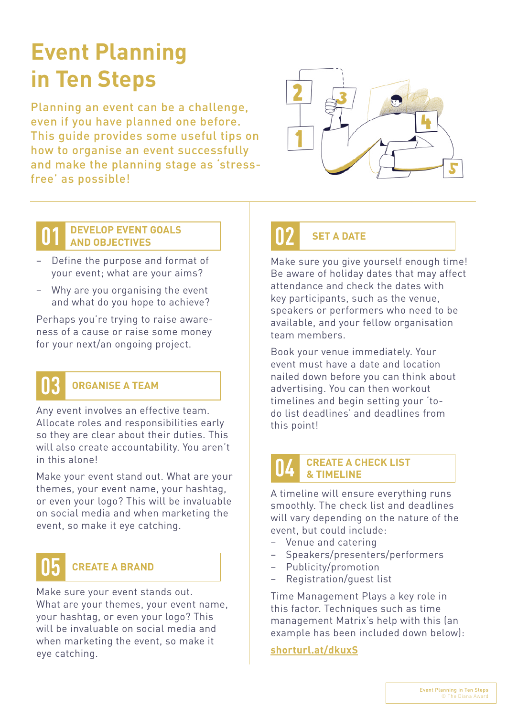# **Event Planning in Ten Steps**

Planning an event can be a challenge, even if you have planned one before. This guide provides some useful tips on how to organise an event successfully and make the planning stage as 'stressfree' as possible!



#### **DEVELOP EVENT GOALS 01 02 AND OBJECTIVES SET A DATE**

- Define the purpose and format of your event; what are your aims?
- Why are you organising the event and what do you hope to achieve?

Perhaps you're trying to raise awareness of a cause or raise some money for your next/an ongoing project.

#### **ORGANISE A TEAM 03**

Any event involves an effective team. Allocate roles and responsibilities early so they are clear about their duties. This will also create accountability. You aren't in this alone!

Make your event stand out. What are your themes, your event name, your hashtag, or even your logo? This will be invaluable on social media and when marketing the event, so make it eye catching.

## **05**

### **CREATE A BRAND**

Make sure your event stands out. What are your themes, your event name, your hashtag, or even your logo? This will be invaluable on social media and when marketing the event, so make it eye catching.

Make sure you give yourself enough time! Be aware of holiday dates that may affect attendance and check the dates with key participants, such as the venue, speakers or performers who need to be available, and your fellow organisation team members.

Book your venue immediately. Your event must have a date and location nailed down before you can think about advertising. You can then workout timelines and begin setting your 'todo list deadlines' and deadlines from this point!

#### **CREATE A CHECK LIST & TIMELINE 04**

A timeline will ensure everything runs smoothly. The check list and deadlines will vary depending on the nature of the event, but could include:

- Venue and catering
- Speakers/presenters/performers
- Publicity/promotion
- Registration/guest list

Time Management Plays a key role in this factor. Techniques such as time management Matrix's help with this (an example has been included down below):

**[shorturl.at/dkuxS](http://shorturl.at/dkuxS)**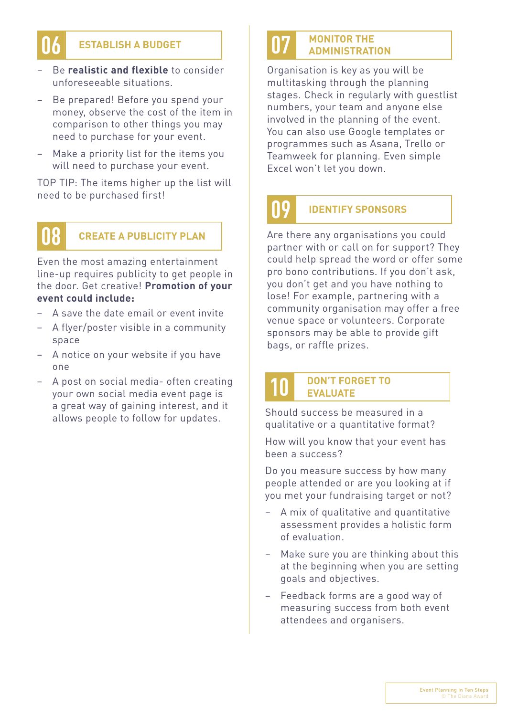

#### **ESTABLISH A BUDGET 06** ESTABLISH A BUDGET **1988**

- Be **realistic and flexible** to consider unforeseeable situations.
- Be prepared! Before you spend your money, observe the cost of the item in comparison to other things you may need to purchase for your event.
- Make a priority list for the items you will need to purchase your event.

TOP TIP: The items higher up the list will need to be purchased first!

### **08**

Even the most amazing entertainment line-up requires publicity to get people in the door. Get creative! **Promotion of your event could include:**

- A save the date email or event invite
- A flyer/poster visible in a community space
- A notice on your website if you have one
- A post on social media- often creating your own social media event page is a great way of gaining interest, and it allows people to follow for updates.

### **MONITOR THE ADMINISTRATION**

Organisation is key as you will be multitasking through the planning stages. Check in regularly with guestlist numbers, your team and anyone else involved in the planning of the event. You can also use Google templates or programmes such as Asana, Trello or Teamweek for planning. Even simple Excel won't let you down.

## **09**

**10**

#### **IDENTIFY SPONSORS**

**CREATE A PUBLICITY PLAN Are there any organisations you could** partner with or call on for support? They could help spread the word or offer some pro bono contributions. If you don't ask, you don't get and you have nothing to lose! For example, partnering with a community organisation may offer a free venue space or volunteers. Corporate sponsors may be able to provide gift bags, or raffle prizes.

#### **DON'T FORGET TO EVALUATE**

Should success be measured in a qualitative or a quantitative format?

How will you know that your event has been a success?

Do you measure success by how many people attended or are you looking at if you met your fundraising target or not?

- A mix of qualitative and quantitative assessment provides a holistic form of evaluation.
- Make sure you are thinking about this at the beginning when you are setting goals and objectives.
- Feedback forms are a good way of measuring success from both event attendees and organisers.